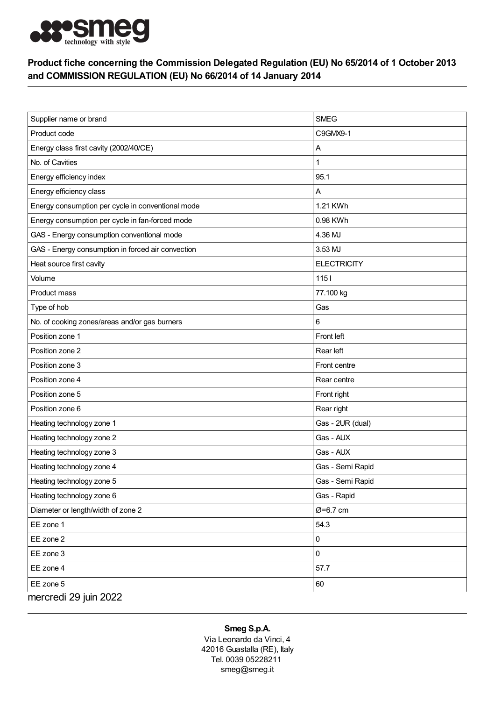

## Product fiche concerning the Commission Delegated Regulation (EU) No 65/2014 of 1 October 2013 and COMMISSION REGULATION (EU) No 66/2014 of 14 January 2014

| Supplier name or brand                            | <b>SMEG</b>        |
|---------------------------------------------------|--------------------|
| Product code                                      | C9GMX9-1           |
| Energy class first cavity (2002/40/CE)            | A                  |
| No. of Cavities                                   |                    |
| Energy efficiency index                           | 95.1               |
| Energy efficiency class                           | Α                  |
| Energy consumption per cycle in conventional mode | 1.21 KWh           |
| Energy consumption per cycle in fan-forced mode   | 0.98 KWh           |
| GAS - Energy consumption conventional mode        | 4.36 MJ            |
| GAS - Energy consumption in forced air convection | 3.53 MJ            |
| Heat source first cavity                          | <b>ELECTRICITY</b> |
| Volume                                            | $1151$             |
| Product mass                                      | 77.100 kg          |
| Type of hob                                       | Gas                |
| No. of cooking zones/areas and/or gas burners     | 6                  |
| Position zone 1                                   | Front left         |
| Position zone 2                                   | Rear left          |
| Position zone 3                                   | Front centre       |
| Position zone 4                                   | Rear centre        |
| Position zone 5                                   | Front right        |
| Position zone 6                                   | Rear right         |
| Heating technology zone 1                         | Gas - 2UR (dual)   |
| Heating technology zone 2                         | Gas - AUX          |
| Heating technology zone 3                         | Gas - AUX          |
| Heating technology zone 4                         | Gas - Semi Rapid   |
| Heating technology zone 5                         | Gas - Semi Rapid   |
| Heating technology zone 6                         | Gas - Rapid        |
| Diameter or length/width of zone 2                | Ø=6.7 cm           |
| EE zone 1                                         | 54.3               |
| EE zone 2                                         | 0                  |
| EE zone 3                                         | $\mathbf 0$        |
| EE zone 4                                         | 57.7               |
| EE zone 5                                         | 60                 |
| mercredi 29 juin 2022                             |                    |

## Smeg S.p.A.

Via Leonardo da Vinci, 4 42016 Guastalla (RE), Italy Tel. 0039 05228211 smeg@smeg.it